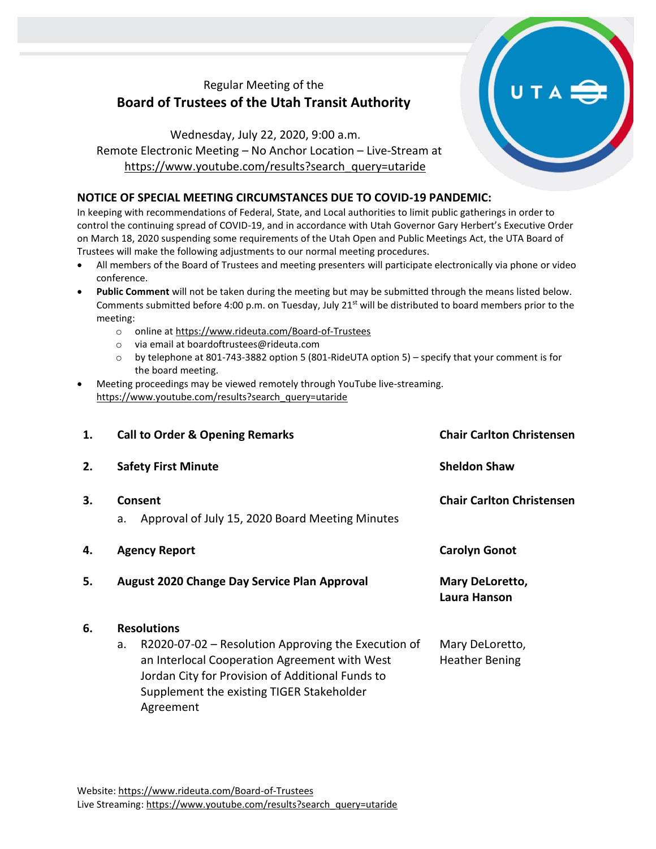## Regular Meeting of the **Board of Trustees of the Utah Transit Authority**

Wednesday, July 22, 2020, 9:00 a.m. Remote Electronic Meeting – No Anchor Location – Live-Stream at [https://www.youtube.com/results?search\\_query=utaride](https://www.youtube.com/results?search_query=utaride)

## **NOTICE OF SPECIAL MEETING CIRCUMSTANCES DUE TO COVID-19 PANDEMIC:**

In keeping with recommendations of Federal, State, and Local authorities to limit public gatherings in order to control the continuing spread of COVID-19, and in accordance with Utah Governor Gary Herbert's Executive Order on March 18, 2020 suspending some requirements of the Utah Open and Public Meetings Act, the UTA Board of Trustees will make the following adjustments to our normal meeting procedures.

- All members of the Board of Trustees and meeting presenters will participate electronically via phone or video conference.
- **Public Comment** will not be taken during the meeting but may be submitted through the means listed below. Comments submitted before 4:00 p.m. on Tuesday, July 21<sup>st</sup> will be distributed to board members prior to the meeting:
	- o online at<https://www.rideuta.com/Board-of-Trustees>
	- o via email at [boardoftrustees@rideuta.com](mailto:boardoftrustees@rideuta.com)
	- o by telephone at 801-743-3882 option 5 (801-RideUTA option 5) specify that your comment is for the board meeting.
- Meeting proceedings may be viewed remotely through YouTube live-streaming. [https://www.youtube.com/results?search\\_query=utaride](https://www.youtube.com/results?search_query=utaride)

| 1. | <b>Call to Order &amp; Opening Remarks</b>                                                                                                                                                                                                       | <b>Chair Carlton Christensen</b>         |
|----|--------------------------------------------------------------------------------------------------------------------------------------------------------------------------------------------------------------------------------------------------|------------------------------------------|
| 2. | <b>Safety First Minute</b>                                                                                                                                                                                                                       | <b>Sheldon Shaw</b>                      |
| 3. | Consent<br>Approval of July 15, 2020 Board Meeting Minutes<br>a.                                                                                                                                                                                 | <b>Chair Carlton Christensen</b>         |
| 4. | <b>Agency Report</b>                                                                                                                                                                                                                             | <b>Carolyn Gonot</b>                     |
| 5. | August 2020 Change Day Service Plan Approval                                                                                                                                                                                                     | Mary DeLoretto,<br>Laura Hanson          |
| 6. | <b>Resolutions</b><br>$R2020-07-02$ – Resolution Approving the Execution of<br>a.<br>an Interlocal Cooperation Agreement with West<br>Jordan City for Provision of Additional Funds to<br>Supplement the existing TIGER Stakeholder<br>Agreement | Mary DeLoretto,<br><b>Heather Bening</b> |